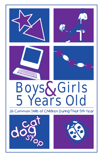

# Boys&Girls<br>5 Years Old

#### 26 Common Skills of Children During Their 5th Year



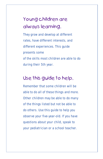# Young children are always learning.

They grow and develop at different rates, have different interests, and different experiences. This guide presents some of the skills most children are able to do during their 5th year.

### Use this guide to help.

Remember that some children will be able to do all of these things and more. Other children may be able to do many of the things listed but not be able to do others. Use this guide to help you observe your five-year-old. If you have questions about your child, speak to your pediatrician or a school teacher.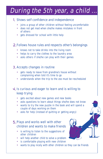# During the 5th year, a child ...

#### 1. Shows self confidence and independence

- joins a group of other children without feeling uncomfortable
- does not get mad when she/he makes mistakes in front of others •
- gets dressed for school with little help •

#### 2. Follows house rules and respects other's belongings

- knows not to take drinks into the living room •
- helps to carry the clothes to the laundry area
- asks others if she/he can play with their games •

#### 3. Accepts changes in routine

- gets ready to leave from grandma's house without complaining when told it's time to go •
- understands when the trip to the zoo must be rescheduled •

#### 4. Is curious and eager to learn and is willing to keep trying

- gets excited about new games and new books •
- asks questions to learn about things she/he does not know
- wants to try the new puzzle in the book and will spend a couple of days working on them
- asks for help (instead of quitting or getting angry)

#### 5. Plays and works well with other children and wants to make friends

- is willing to listen to the suggestions of other children
- will help another child to solve a problem
- is comfortable playing with new children
- wants to play nicely with other children so they can be friends

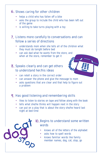#### Shows caring for other children 6.

- helps a child who has fallen off a bike
- asks the group to include the child who has been left out of the game
- is willing to take turns playing with a toy

#### Listens more carefully to conversations and can 7. follow a series of directions

- understands mom when she tells all of the children what they must do tonight before bed •
- can ask dad what he wants from the store, and when at the store, remember to get it

#### Speaks clearly and can get others 8. to understand her/his ideas



- can retell a story in the correct order •
- can answer the phone and give the message to mom
- asks questions that are clear and that help to figure out a problem

#### 9. Has good listening and remembering skills

- likes to listen to stories on tape and follow along with the book •
- tells what she/he thinks will happen next in the story
- can put on a play that is about the story she/he heard last night at bed time



#### Begins to understand some written 10.words

- knows all of the letters of the alphabet •
- asks how to spell words •
- knows familiar words like family member names, dog, cat, stop, go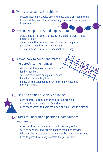#### Wants to solve math problems 11.

- guesses how many apples are in the bag and then counts them
- looks and decides if there are enough cookies for everyone to get one

#### Recognizes patterns and copies them 12.

• sees a pattern of colors of beads in a picture then strings beads to match

 $\prime$ 

 $\overline{Q}$ 

3 10

4

 $\eta$ 

5

6

 $\overline{\mathcal{S}}$ 

 $\overline{Q}$ 

9

 $\int_{\delta}$ 

- claps hands the same number of times as the pattern (two short claps then two long claps)
- arranges pencils in a line from smallest to largest

#### 13. Knows how to count and match the objects to the number

- shows that there are 5 books for the 5 family members
- sets the table with enough silverware for all who are eating lunch
- points on the calendar to count how many days until her/his birthday

#### Uses and names a variety of shapes 14.

- uses squares, circles and triangles in a drawing •
- explains that a square has four sides •
- uses shape words to name the block (this blue one is a circle) •

#### Starts to understand positions, comparisons 15.and measuring

- says that the book is closer to dad than to grandpa
- says to hang the new drawing above the older drawing
- tells you the purple cup holds more soda than the green cup
- likes to guess how many marbles the jar will hold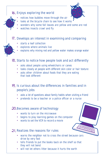#### 16. Enjoys exploring the world



- notices how bubbles move through the air •
- looks at the bicycle chain to see how it works •
- wonders why some fall leaves are yellow and some are red •
- watches insects crawl and fly •

#### 17. Develops an interest in examining and comparing

- starts a leaf collection •
- explores where animals live •
- explains why mixing red and yellow water makes orange water •

#### 18. Starts to notice how people look and act differently

- asks about people using wheelchairs or canes
- looks closely at people with different skin color or hair texture
- asks other children about foods that they are eating that look different

#### 19. Is curious about the differences in families and in people's jobs

- asks a lot of questions about family habits when visiting a friend •
- pretends to be a teacher or a police officer or a nurse •

#### 20. Becomes aware of technology

- wants to turn on the microwave
- begins to play learning games on the computer
- wants to set the VCR to record a movie

#### 21. Realizes the reasons for rules

- warns the neighbor not to cross the street because cars drive by very fast
- tells friends to put the books back on the shelf so that they will not bend
- will not let others litter because it hurts the earth •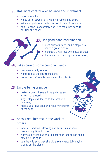#### 22. Has more control over balance and movement

- hops on one foot •
- walks up or down stairs while carrying some books
- skips and gallops smoothly to the rhythm of the music
- holds a pencil comfortably and uses the other hand to position the paper

#### Has good hand coordination 23.

- uses scissors, tape, and a stapler to make a great picture •
- hammers a nail into two pieces of wood •
- buttons a shirt and zips a jacket easily •

#### Takes care of some personal needs 24.

- can make a jelly sandwich
- wants to use the bathroom alone
- keeps track of her/his own shoes, toys, books

#### Enjoys being creative 25.

- makes a book, draws all the pictures and writes some words
- sings, claps and dances to the beat of a new song
- makes up a new song and hand movements to the song

#### 26. Shows real interest in the work of others

- looks at someone's drawing and says it must have taken a long time to draw •
- watches a friend put on a puppet show and thinks about how he is doing it
- tells her/his aunt that she did a really good job playing a song on the piano